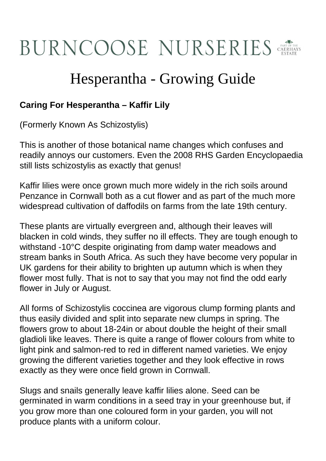## **BURNCOOSE NURSERIES**

## Hesperantha - Growing Guide

## **Caring For Hesperantha – Kaffir Lily**

(Formerly Known As Schizostylis)

This is another of those botanical name changes which confuses and readily annoys our customers. Even the 2008 RHS Garden Encyclopaedia still lists schizostylis as exactly that genus!

Kaffir lilies were once grown much more widely in the rich soils around Penzance in Cornwall both as a cut flower and as part of the much more widespread cultivation of daffodils on farms from the late 19th century.

These plants are virtually evergreen and, although their leaves will blacken in cold winds, they suffer no ill effects. They are tough enough to withstand -10°C despite originating from damp water meadows and stream banks in South Africa. As such they have become very popular in UK gardens for their ability to brighten up autumn which is when they flower most fully. That is not to say that you may not find the odd early flower in July or August.

All forms of Schizostylis coccinea are vigorous clump forming plants and thus easily divided and split into separate new clumps in spring. The flowers grow to about 18-24in or about double the height of their small gladioli like leaves. There is quite a range of flower colours from white to light pink and salmon-red to red in different named varieties. We enjoy growing the different varieties together and they look effective in rows exactly as they were once field grown in Cornwall.

Slugs and snails generally leave kaffir lilies alone. Seed can be germinated in warm conditions in a seed tray in your greenhouse but, if you grow more than one coloured form in your garden, you will not produce plants with a uniform colour.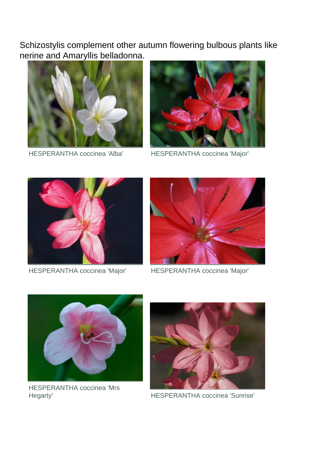Schizostylis complement other autumn flowering bulbous plants like nerine and Amaryllis belladonna.



HESPERANTHA coccinea 'Alba' HESPERANTHA coccinea 'Major'





HESPERANTHA coccinea 'Major' HESPERANTHA coccinea 'Major'





HESPERANTHA coccinea 'Mrs Hegarty' HESPERANTHA coccinea 'Sunrise'